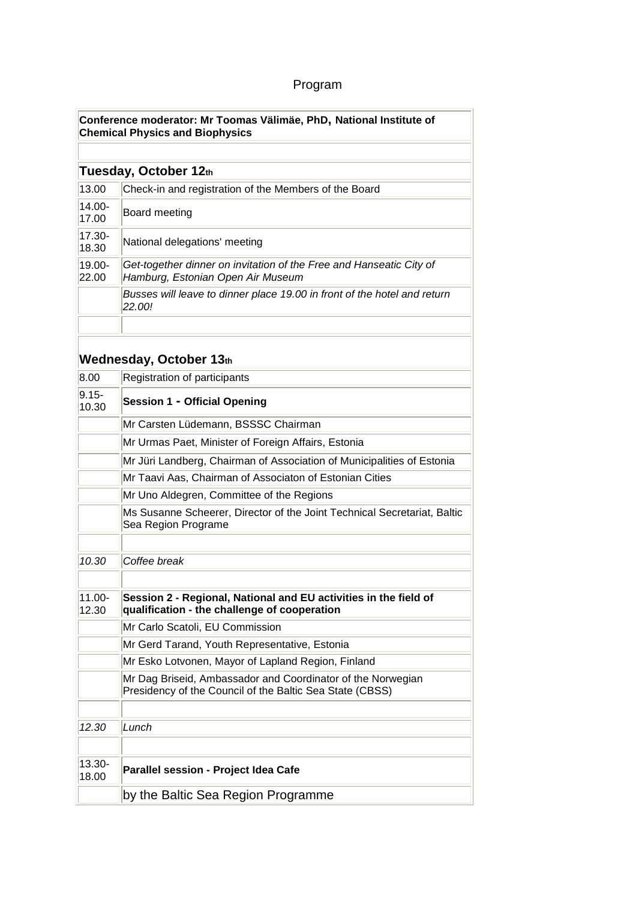## Program

|                    | Conference moderator: Mr Toomas Välimäe, PhD, National Institute of<br><b>Chemical Physics and Biophysics</b>           |  |  |
|--------------------|-------------------------------------------------------------------------------------------------------------------------|--|--|
|                    |                                                                                                                         |  |  |
|                    | Tuesday, October 12th                                                                                                   |  |  |
| 13.00              | Check-in and registration of the Members of the Board                                                                   |  |  |
| $14.00 -$<br>17.00 | Board meeting                                                                                                           |  |  |
| $17.30 -$<br>18.30 | National delegations' meeting                                                                                           |  |  |
| $19.00 -$<br>22.00 | Get-together dinner on invitation of the Free and Hanseatic City of<br>Hamburg, Estonian Open Air Museum                |  |  |
|                    | Busses will leave to dinner place 19.00 in front of the hotel and return<br>22.00!                                      |  |  |
|                    | Wednesday, October 13th                                                                                                 |  |  |
| 8.00               | Registration of participants                                                                                            |  |  |
| $9.15 -$<br>10.30  | <b>Session 1 - Official Opening</b>                                                                                     |  |  |
|                    | Mr Carsten Lüdemann, BSSSC Chairman                                                                                     |  |  |
|                    | Mr Urmas Paet, Minister of Foreign Affairs, Estonia                                                                     |  |  |
|                    | Mr Jüri Landberg, Chairman of Association of Municipalities of Estonia                                                  |  |  |
|                    | Mr Taavi Aas, Chairman of Associaton of Estonian Cities                                                                 |  |  |
|                    | Mr Uno Aldegren, Committee of the Regions                                                                               |  |  |
|                    | Ms Susanne Scheerer, Director of the Joint Technical Secretariat, Baltic<br>Sea Region Programe                         |  |  |
| 10.30              | Coffee break                                                                                                            |  |  |
| 11.00-<br>12.30    | Session 2 - Regional, National and EU activities in the field of<br>qualification - the challenge of cooperation        |  |  |
|                    | Mr Carlo Scatoli, EU Commission                                                                                         |  |  |
|                    | Mr Gerd Tarand, Youth Representative, Estonia                                                                           |  |  |
|                    | Mr Esko Lotvonen, Mayor of Lapland Region, Finland                                                                      |  |  |
|                    | Mr Dag Briseid, Ambassador and Coordinator of the Norwegian<br>Presidency of the Council of the Baltic Sea State (CBSS) |  |  |
| 12.30              | Lunch                                                                                                                   |  |  |
| 13.30-<br>18.00    | Parallel session - Project Idea Cafe                                                                                    |  |  |
|                    | by the Baltic Sea Region Programme                                                                                      |  |  |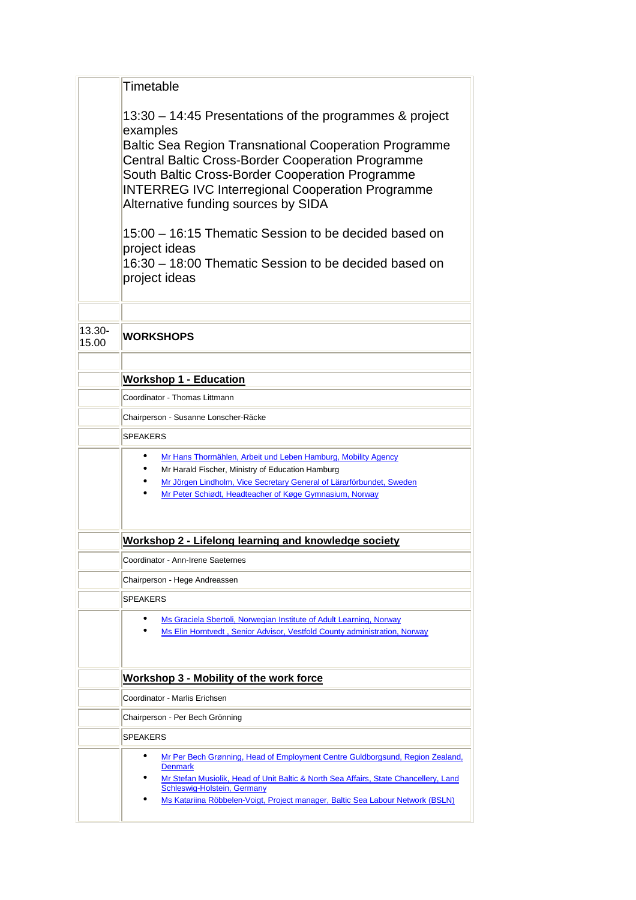|                 | Timetable                                                                                                                                                                                                                                                                                                       |  |  |  |
|-----------------|-----------------------------------------------------------------------------------------------------------------------------------------------------------------------------------------------------------------------------------------------------------------------------------------------------------------|--|--|--|
|                 | 13:30 – 14:45 Presentations of the programmes & project<br>examples                                                                                                                                                                                                                                             |  |  |  |
|                 | <b>Baltic Sea Region Transnational Cooperation Programme</b><br><b>Central Baltic Cross-Border Cooperation Programme</b><br>South Baltic Cross-Border Cooperation Programme<br><b>INTERREG IVC Interregional Cooperation Programme</b><br>Alternative funding sources by SIDA                                   |  |  |  |
|                 | 15:00 – 16:15 Thematic Session to be decided based on<br>project ideas<br>16:30 – 18:00 Thematic Session to be decided based on<br>project ideas                                                                                                                                                                |  |  |  |
|                 |                                                                                                                                                                                                                                                                                                                 |  |  |  |
| 13.30-<br>15.00 | <b>WORKSHOPS</b>                                                                                                                                                                                                                                                                                                |  |  |  |
|                 | <b>Workshop 1 - Education</b>                                                                                                                                                                                                                                                                                   |  |  |  |
|                 | Coordinator - Thomas Littmann                                                                                                                                                                                                                                                                                   |  |  |  |
|                 | Chairperson - Susanne Lonscher-Räcke                                                                                                                                                                                                                                                                            |  |  |  |
|                 | <b>SPEAKERS</b>                                                                                                                                                                                                                                                                                                 |  |  |  |
|                 | Mr Hans Thormählen, Arbeit und Leben Hamburg, Mobility Agency<br>Mr Harald Fischer, Ministry of Education Hamburg<br>Mr Jörgen Lindholm, Vice Secretary General of Lärarförbundet, Sweden<br>Mr Peter Schiødt, Headteacher of Køge Gymnasium, Norway                                                            |  |  |  |
|                 | Workshop 2 - Lifelong learning and knowledge society                                                                                                                                                                                                                                                            |  |  |  |
|                 | Coordinator - Ann-Irene Saeternes                                                                                                                                                                                                                                                                               |  |  |  |
|                 | Chairperson - Hege Andreassen                                                                                                                                                                                                                                                                                   |  |  |  |
|                 | <b>SPEAKERS</b>                                                                                                                                                                                                                                                                                                 |  |  |  |
|                 | Ms Graciela Sbertoli, Norwegian Institute of Adult Learning, Norway<br>Ms Elin Horntvedt, Senior Advisor, Vestfold County administration, Norway                                                                                                                                                                |  |  |  |
|                 | <b>Workshop 3 - Mobility of the work force</b>                                                                                                                                                                                                                                                                  |  |  |  |
|                 | Coordinator - Marlis Erichsen                                                                                                                                                                                                                                                                                   |  |  |  |
|                 | Chairperson - Per Bech Grönning                                                                                                                                                                                                                                                                                 |  |  |  |
|                 | <b>SPEAKERS</b>                                                                                                                                                                                                                                                                                                 |  |  |  |
|                 | Mr Per Bech Grønning, Head of Employment Centre Guldborgsund, Region Zealand,<br><b>Denmark</b><br>Mr Stefan Musiolik, Head of Unit Baltic & North Sea Affairs, State Chancellery, Land<br><b>Schleswig-Holstein, Germany</b><br>Ms Katariina Röbbelen-Voigt, Project manager, Baltic Sea Labour Network (BSLN) |  |  |  |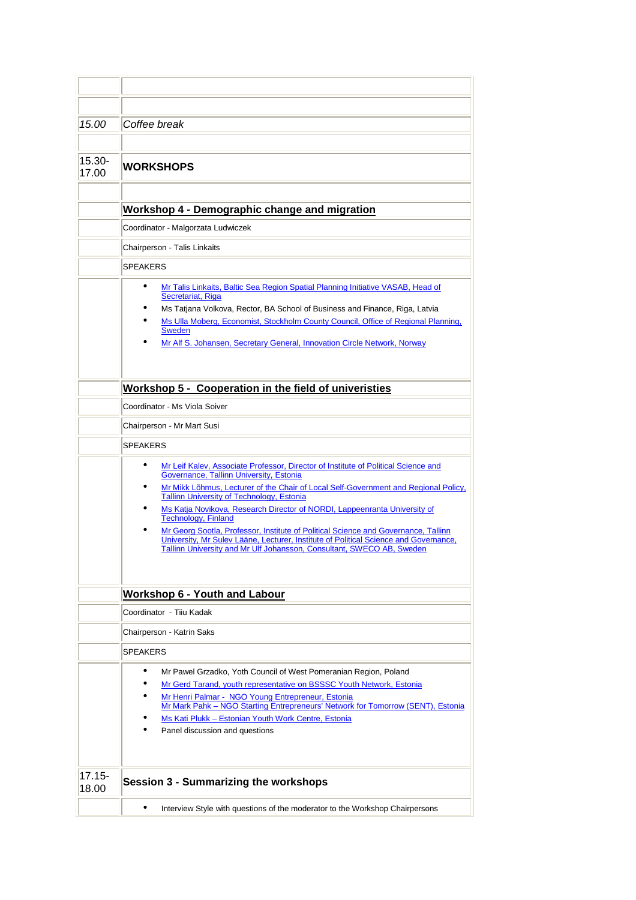| 15.00              | Coffee break                                                                                                                                                                                                                                                                                                                                                                 |  |  |  |
|--------------------|------------------------------------------------------------------------------------------------------------------------------------------------------------------------------------------------------------------------------------------------------------------------------------------------------------------------------------------------------------------------------|--|--|--|
|                    |                                                                                                                                                                                                                                                                                                                                                                              |  |  |  |
| $15.30 -$          |                                                                                                                                                                                                                                                                                                                                                                              |  |  |  |
| 17.00              | <b>WORKSHOPS</b>                                                                                                                                                                                                                                                                                                                                                             |  |  |  |
|                    |                                                                                                                                                                                                                                                                                                                                                                              |  |  |  |
|                    | Workshop 4 - Demographic change and migration                                                                                                                                                                                                                                                                                                                                |  |  |  |
|                    | Coordinator - Malgorzata Ludwiczek                                                                                                                                                                                                                                                                                                                                           |  |  |  |
|                    | Chairperson - Talis Linkaits                                                                                                                                                                                                                                                                                                                                                 |  |  |  |
|                    | <b>SPEAKERS</b>                                                                                                                                                                                                                                                                                                                                                              |  |  |  |
|                    | <u>Mr Talis Linkaits, Baltic Sea Region Spatial Planning Initiative VASAB, Head of</u><br>Secretariat, Riga<br>Ms Tatjana Volkova, Rector, BA School of Business and Finance, Riga, Latvia<br>Ms Ulla Moberg, Economist, Stockholm County Council, Office of Regional Planning,<br><b>Sweden</b><br>Mr Alf S. Johansen, Secretary General, Innovation Circle Network, Norway |  |  |  |
|                    | Workshop 5 - Cooperation in the field of univeristies                                                                                                                                                                                                                                                                                                                        |  |  |  |
|                    | Coordinator - Ms Viola Soiver                                                                                                                                                                                                                                                                                                                                                |  |  |  |
|                    | Chairperson - Mr Mart Susi                                                                                                                                                                                                                                                                                                                                                   |  |  |  |
|                    | <b>SPEAKERS</b>                                                                                                                                                                                                                                                                                                                                                              |  |  |  |
|                    | Mr Leif Kalev, Associate Professor, Director of Institute of Political Science and                                                                                                                                                                                                                                                                                           |  |  |  |
|                    | Governance, Tallinn University, Estonia<br>Mr Mikk Lõhmus, Lecturer of the Chair of Local Self-Government and Regional Policy,                                                                                                                                                                                                                                               |  |  |  |
|                    | Tallinn University of Technology, Estonia                                                                                                                                                                                                                                                                                                                                    |  |  |  |
|                    | Ms Katja Novikova, Research Director of NORDI, Lappeenranta University of<br><b>Technology, Finland</b>                                                                                                                                                                                                                                                                      |  |  |  |
|                    | Mr Georg Sootla, Professor, Institute of Political Science and Governance, Tallinn<br>University, Mr Sulev Lääne, Lecturer, Institute of Political Science and Governance,<br>Tallinn University and Mr Ulf Johansson, Consultant, SWECO AB, Sweden                                                                                                                          |  |  |  |
|                    | <b>Workshop 6 - Youth and Labour</b>                                                                                                                                                                                                                                                                                                                                         |  |  |  |
|                    | Coordinator - Tiiu Kadak                                                                                                                                                                                                                                                                                                                                                     |  |  |  |
|                    | Chairperson - Katrin Saks                                                                                                                                                                                                                                                                                                                                                    |  |  |  |
|                    | <b>SPEAKERS</b>                                                                                                                                                                                                                                                                                                                                                              |  |  |  |
|                    | Mr Pawel Grzadko, Yoth Council of West Pomeranian Region, Poland<br>Mr Gerd Tarand, youth representative on BSSSC Youth Network, Estonia<br>Mr Henri Palmar - NGO Young Entrepreneur, Estonia<br>Mr Mark Pahk - NGO Starting Entrepreneurs' Network for Tomorrow (SENT), Estonia<br>Ms Kati Plukk - Estonian Youth Work Centre, Estonia<br>Panel discussion and questions    |  |  |  |
| $17.15 -$<br>18.00 | <b>Session 3 - Summarizing the workshops</b>                                                                                                                                                                                                                                                                                                                                 |  |  |  |
|                    | Interview Style with questions of the moderator to the Workshop Chairpersons<br>$\bullet$                                                                                                                                                                                                                                                                                    |  |  |  |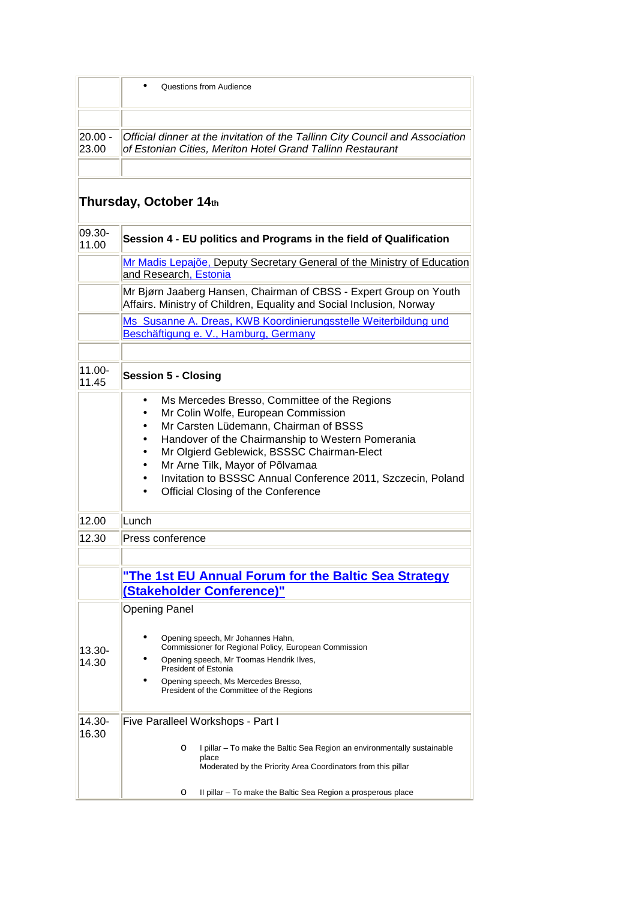|                        | Questions from Audience                                                                                                                                                                                                                                                                                                                                                  |  |  |  |  |
|------------------------|--------------------------------------------------------------------------------------------------------------------------------------------------------------------------------------------------------------------------------------------------------------------------------------------------------------------------------------------------------------------------|--|--|--|--|
|                        |                                                                                                                                                                                                                                                                                                                                                                          |  |  |  |  |
| $ 20.00 -$<br>23.00    | Official dinner at the invitation of the Tallinn City Council and Association<br>of Estonian Cities, Meriton Hotel Grand Tallinn Restaurant                                                                                                                                                                                                                              |  |  |  |  |
|                        |                                                                                                                                                                                                                                                                                                                                                                          |  |  |  |  |
| Thursday, October 14th |                                                                                                                                                                                                                                                                                                                                                                          |  |  |  |  |
| $ 09.30 -$<br>11.00    | Session 4 - EU politics and Programs in the field of Qualification                                                                                                                                                                                                                                                                                                       |  |  |  |  |
|                        | Mr Madis Lepajõe, Deputy Secretary General of the Ministry of Education<br>and Research, Estonia                                                                                                                                                                                                                                                                         |  |  |  |  |
|                        | Mr Bjørn Jaaberg Hansen, Chairman of CBSS - Expert Group on Youth<br>Affairs. Ministry of Children, Equality and Social Inclusion, Norway                                                                                                                                                                                                                                |  |  |  |  |
|                        | Ms Susanne A. Dreas, KWB Koordinierungsstelle Weiterbildung und<br>Beschäftigung e. V., Hamburg, Germany                                                                                                                                                                                                                                                                 |  |  |  |  |
|                        |                                                                                                                                                                                                                                                                                                                                                                          |  |  |  |  |
| $11.00 -$<br>11.45     | <b>Session 5 - Closing</b>                                                                                                                                                                                                                                                                                                                                               |  |  |  |  |
|                        | Ms Mercedes Bresso, Committee of the Regions<br>Mr Colin Wolfe, European Commission<br>Mr Carsten Lüdemann, Chairman of BSSS<br>Handover of the Chairmanship to Western Pomerania<br>Mr Olgierd Geblewick, BSSSC Chairman-Elect<br>Mr Arne Tilk, Mayor of Põlvamaa<br>Invitation to BSSSC Annual Conference 2011, Szczecin, Poland<br>Official Closing of the Conference |  |  |  |  |
| 12.00                  | Lunch                                                                                                                                                                                                                                                                                                                                                                    |  |  |  |  |
| 12.30                  | Press conference                                                                                                                                                                                                                                                                                                                                                         |  |  |  |  |
|                        |                                                                                                                                                                                                                                                                                                                                                                          |  |  |  |  |
|                        | "The 1st EU Annual Forum for the Baltic Sea Strategy<br><b>(Stakeholder Conference)"</b>                                                                                                                                                                                                                                                                                 |  |  |  |  |
|                        | <b>Opening Panel</b>                                                                                                                                                                                                                                                                                                                                                     |  |  |  |  |
| $13.30 -$<br>14.30     | Opening speech, Mr Johannes Hahn,<br>Commissioner for Regional Policy, European Commission<br>Opening speech, Mr Toomas Hendrik Ilves,<br><b>President of Estonia</b><br>Opening speech, Ms Mercedes Bresso,                                                                                                                                                             |  |  |  |  |
|                        | President of the Committee of the Regions                                                                                                                                                                                                                                                                                                                                |  |  |  |  |
| 14.30-<br>16.30        | Five Paralleel Workshops - Part I                                                                                                                                                                                                                                                                                                                                        |  |  |  |  |
|                        | I pillar – To make the Baltic Sea Region an environmentally sustainable<br>$\circ$<br>place<br>Moderated by the Priority Area Coordinators from this pillar                                                                                                                                                                                                              |  |  |  |  |
|                        | II pillar – To make the Baltic Sea Region a prosperous place<br>$\circ$                                                                                                                                                                                                                                                                                                  |  |  |  |  |